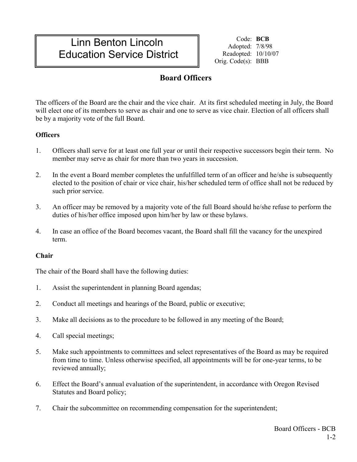# Linn Benton Lincoln Education Service District

Code: **BCB** Adopted: 7/8/98 Readopted: 10/10/07 Orig. Code(s): BBB

## **Board Officers**

The officers of the Board are the chair and the vice chair. At its first scheduled meeting in July, the Board will elect one of its members to serve as chair and one to serve as vice chair. Election of all officers shall be by a majority vote of the full Board.

### **Officers**

- 1. Officers shall serve for at least one full year or until their respective successors begin their term. No member may serve as chair for more than two years in succession.
- 2. In the event a Board member completes the unfulfilled term of an officer and he/she is subsequently elected to the position of chair or vice chair, his/her scheduled term of office shall not be reduced by such prior service.
- 3. An officer may be removed by a majority vote of the full Board should he/she refuse to perform the duties of his/her office imposed upon him/her by law or these bylaws.
- 4. In case an office of the Board becomes vacant, the Board shall fill the vacancy for the unexpired term.

#### **Chair**

The chair of the Board shall have the following duties:

- 1. Assist the superintendent in planning Board agendas;
- 2. Conduct all meetings and hearings of the Board, public or executive;
- 3. Make all decisions as to the procedure to be followed in any meeting of the Board;
- 4. Call special meetings;
- 5. Make such appointments to committees and select representatives of the Board as may be required from time to time. Unless otherwise specified, all appointments will be for one-year terms, to be reviewed annually;
- 6. Effect the Board's annual evaluation of the superintendent, in accordance with Oregon Revised Statutes and Board policy;
- 7. Chair the subcommittee on recommending compensation for the superintendent;